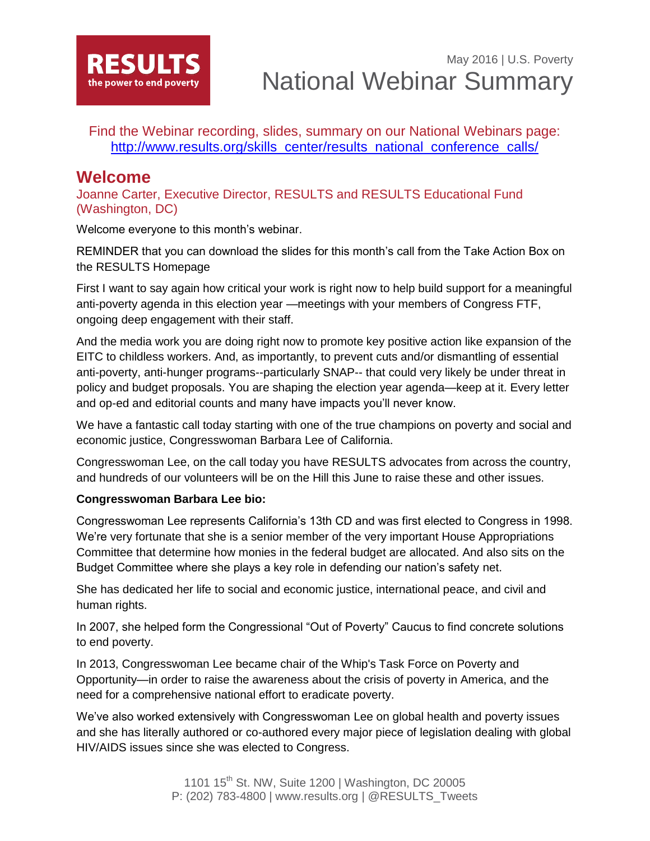

Find the Webinar recording, slides, summary on our National Webinars page: [http://www.results.org/skills\\_center/results\\_national\\_conference\\_calls/](http://www.results.org/skills_center/results_national_conference_calls/)

### **Welcome**

Joanne Carter, Executive Director, RESULTS and RESULTS Educational Fund (Washington, DC)

Welcome everyone to this month's webinar.

REMINDER that you can download the slides for this month's call from the Take Action Box on the RESULTS Homepage

First I want to say again how critical your work is right now to help build support for a meaningful anti-poverty agenda in this election year —meetings with your members of Congress FTF, ongoing deep engagement with their staff.

And the media work you are doing right now to promote key positive action like expansion of the EITC to childless workers. And, as importantly, to prevent cuts and/or dismantling of essential anti-poverty, anti-hunger programs--particularly SNAP-- that could very likely be under threat in policy and budget proposals. You are shaping the election year agenda—keep at it. Every letter and op-ed and editorial counts and many have impacts you'll never know.

We have a fantastic call today starting with one of the true champions on poverty and social and economic justice, Congresswoman Barbara Lee of California.

Congresswoman Lee, on the call today you have RESULTS advocates from across the country, and hundreds of our volunteers will be on the Hill this June to raise these and other issues.

#### **Congresswoman Barbara Lee bio:**

Congresswoman Lee represents California's 13th CD and was first elected to Congress in 1998. We're very fortunate that she is a senior member of the very important House Appropriations Committee that determine how monies in the federal budget are allocated. And also sits on the Budget Committee where she plays a key role in defending our nation's safety net.

She has dedicated her life to social and economic justice, international peace, and civil and human rights.

In 2007, she helped form the Congressional "Out of Poverty" Caucus to find concrete solutions to end poverty.

In 2013, Congresswoman Lee became chair of the Whip's Task Force on Poverty and Opportunity—in order to raise the awareness about the crisis of poverty in America, and the need for a comprehensive national effort to eradicate poverty.

We've also worked extensively with Congresswoman Lee on global health and poverty issues and she has literally authored or co-authored every major piece of legislation dealing with global HIV/AIDS issues since she was elected to Congress.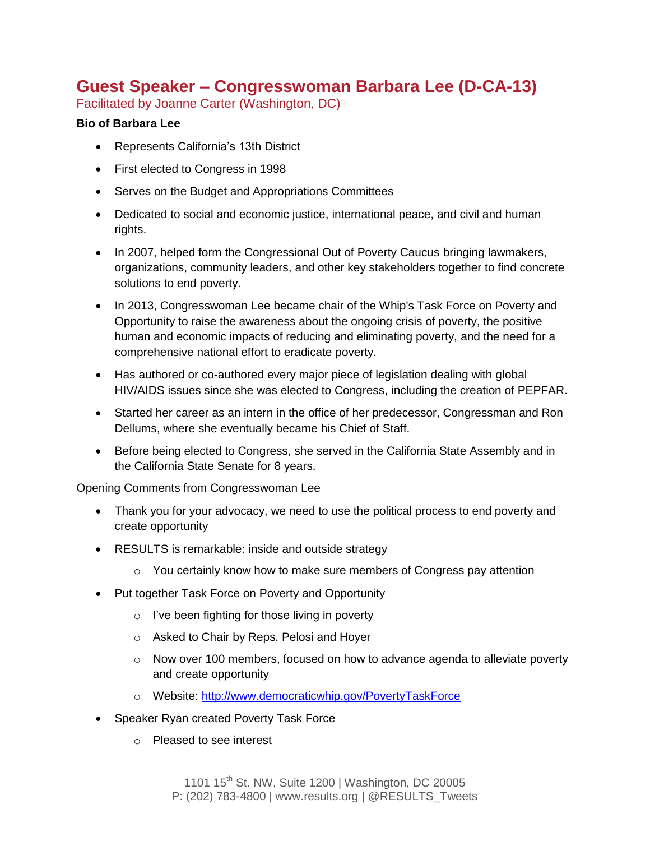## **Guest Speaker – Congresswoman Barbara Lee (D-CA-13)**

Facilitated by Joanne Carter (Washington, DC)

#### **Bio of Barbara Lee**

- Represents California's 13th District
- First elected to Congress in 1998
- Serves on the Budget and Appropriations Committees
- Dedicated to social and economic justice, international peace, and civil and human rights.
- In 2007, helped form the Congressional Out of Poverty Caucus bringing lawmakers, organizations, community leaders, and other key stakeholders together to find concrete solutions to end poverty.
- In 2013, Congresswoman Lee became chair of the Whip's Task Force on Poverty and Opportunity to raise the awareness about the ongoing crisis of poverty, the positive human and economic impacts of reducing and eliminating poverty, and the need for a comprehensive national effort to eradicate poverty.
- Has authored or co-authored every major piece of legislation dealing with global HIV/AIDS issues since she was elected to Congress, including the creation of PEPFAR.
- Started her career as an intern in the office of her predecessor, Congressman and Ron Dellums, where she eventually became his Chief of Staff.
- Before being elected to Congress, she served in the California State Assembly and in the California State Senate for 8 years.

Opening Comments from Congresswoman Lee

- Thank you for your advocacy, we need to use the political process to end poverty and create opportunity
- RESULTS is remarkable: inside and outside strategy
	- $\circ$  You certainly know how to make sure members of Congress pay attention
- Put together Task Force on Poverty and Opportunity
	- o I've been fighting for those living in poverty
	- o Asked to Chair by Reps. Pelosi and Hoyer
	- $\circ$  Now over 100 members, focused on how to advance agenda to alleviate poverty and create opportunity
	- o Website:<http://www.democraticwhip.gov/PovertyTaskForce>
- Speaker Ryan created Poverty Task Force
	- o Pleased to see interest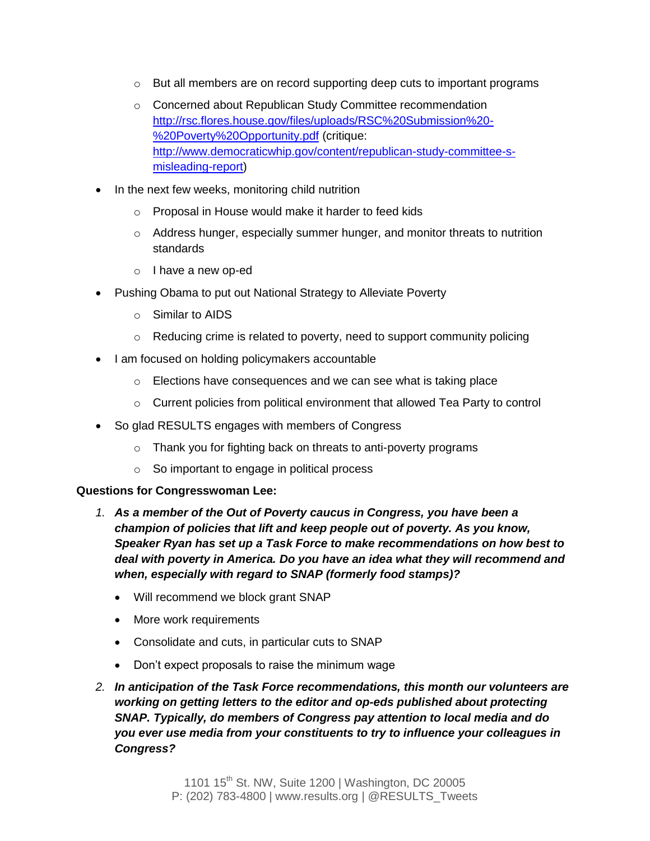- $\circ$  But all members are on record supporting deep cuts to important programs
- o Concerned about Republican Study Committee recommendation [http://rsc.flores.house.gov/files/uploads/RSC%20Submission%20-](http://rsc.flores.house.gov/files/uploads/RSC%20Submission%20-%20Poverty%20Opportunity.pdf) [%20Poverty%20Opportunity.pdf](http://rsc.flores.house.gov/files/uploads/RSC%20Submission%20-%20Poverty%20Opportunity.pdf) (critique: [http://www.democraticwhip.gov/content/republican-study-committee-s](http://www.democraticwhip.gov/content/republican-study-committee-s-misleading-report)[misleading-report\)](http://www.democraticwhip.gov/content/republican-study-committee-s-misleading-report)
- In the next few weeks, monitoring child nutrition
	- o Proposal in House would make it harder to feed kids
	- o Address hunger, especially summer hunger, and monitor threats to nutrition standards
	- o I have a new op-ed
- Pushing Obama to put out National Strategy to Alleviate Poverty
	- o Similar to AIDS
	- o Reducing crime is related to poverty, need to support community policing
- I am focused on holding policymakers accountable
	- o Elections have consequences and we can see what is taking place
	- o Current policies from political environment that allowed Tea Party to control
- So glad RESULTS engages with members of Congress
	- o Thank you for fighting back on threats to anti-poverty programs
	- o So important to engage in political process

#### **Questions for Congresswoman Lee:**

- *1. As a member of the Out of Poverty caucus in Congress, you have been a champion of policies that lift and keep people out of poverty. As you know, Speaker Ryan has set up a Task Force to make recommendations on how best to deal with poverty in America. Do you have an idea what they will recommend and when, especially with regard to SNAP (formerly food stamps)?*
	- Will recommend we block grant SNAP
	- More work requirements
	- Consolidate and cuts, in particular cuts to SNAP
	- Don't expect proposals to raise the minimum wage
- *2. In anticipation of the Task Force recommendations, this month our volunteers are working on getting letters to the editor and op-eds published about protecting SNAP. Typically, do members of Congress pay attention to local media and do you ever use media from your constituents to try to influence your colleagues in Congress?*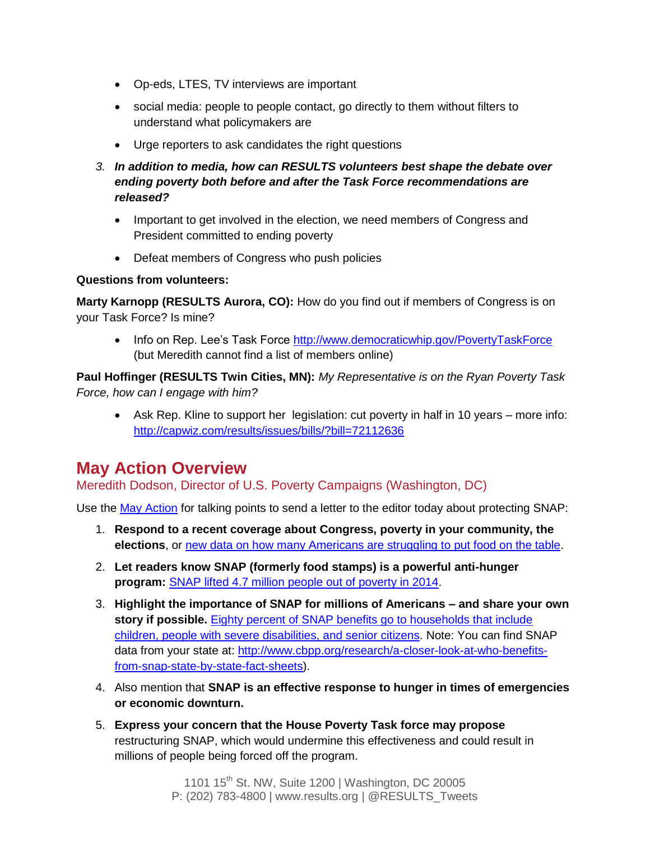- Op-eds, LTES, TV interviews are important
- social media: people to people contact, go directly to them without filters to understand what policymakers are
- Urge reporters to ask candidates the right questions
- *3. In addition to media, how can RESULTS volunteers best shape the debate over ending poverty both before and after the Task Force recommendations are released?*
	- Important to get involved in the election, we need members of Congress and President committed to ending poverty
	- Defeat members of Congress who push policies

#### **Questions from volunteers:**

**Marty Karnopp (RESULTS Aurora, CO):** How do you find out if members of Congress is on your Task Force? Is mine?

• Info on Rep. Lee's Task Force<http://www.democraticwhip.gov/PovertyTaskForce> (but Meredith cannot find a list of members online)

**Paul Hoffinger (RESULTS Twin Cities, MN):** *My Representative is on the Ryan Poverty Task Force, how can I engage with him?*

 Ask Rep. Kline to support her legislation: cut poverty in half in 10 years – more info: <http://capwiz.com/results/issues/bills/?bill=72112636>

## **May Action Overview**

Meredith Dodson, Director of U.S. Poverty Campaigns (Washington, DC)

Use the [May Action](http://www.results.org/take_action/may_2016_u.s._poverty_action/) for talking points to send a letter to the editor today about protecting SNAP:

- 1. **Respond to a recent coverage about Congress, poverty in your community, the elections**, or [new data on how many Americans are struggling to put food on the table.](http://map.feedingamerica.org/county/2014/overall)
- 2. **Let readers know SNAP (formerly food stamps) is a powerful anti-hunger program:** [SNAP lifted 4.7 million people out of poverty in 2014.](https://www.whitehouse.gov/blog/2015/12/08/new-cea-report-finds-snap-benefits-are-crucial-families-sometimes-inadequate)
- 3. **Highlight the importance of SNAP for millions of Americans – and share your own story if possible.** [Eighty percent of SNAP benefits go to households that include](http://www.cbpp.org/research/policy-basics-introduction-to-the-supplemental-nutrition-assistance-program-snap)  [children, people with severe disabilities, and senior citizens.](http://www.cbpp.org/research/policy-basics-introduction-to-the-supplemental-nutrition-assistance-program-snap) Note: You can find SNAP data from your state at: [http://www.cbpp.org/research/a-closer-look-at-who-benefits](http://www.cbpp.org/research/a-closer-look-at-who-benefits-from-snap-state-by-state-fact-sheets)[from-snap-state-by-state-fact-sheets\)](http://www.cbpp.org/research/a-closer-look-at-who-benefits-from-snap-state-by-state-fact-sheets).
- 4. Also mention that **SNAP is an effective response to hunger in times of emergencies or economic downturn.**
- 5. **Express your concern that the House Poverty Task force may propose** restructuring SNAP, which would undermine this effectiveness and could result in millions of people being forced off the program.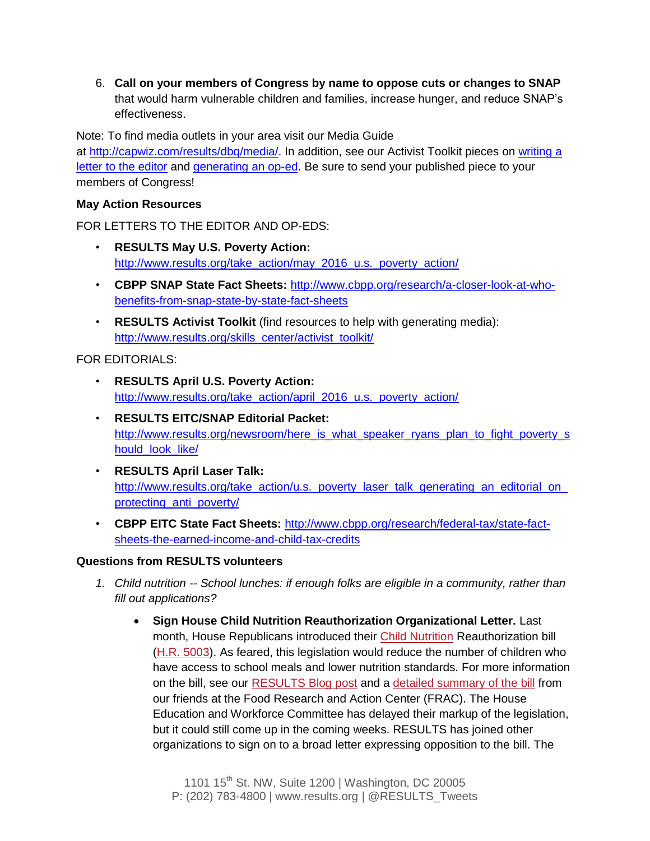6. **Call on your members of Congress by name to oppose cuts or changes to SNAP** that would harm vulnerable children and families, increase hunger, and reduce SNAP's effectiveness.

Note: To find media outlets in your area visit our Media Guide at [http://capwiz.com/results/dbq/media/.](http://capwiz.com/results/dbq/media/) In addition, see our Activist Toolkit pieces on [writing a](http://www.results.org/skills_center/milestone_18/)  [letter to the editor](http://www.results.org/skills_center/milestone_18/) and [generating an op-ed.](http://www.results.org/skills_center/milestone_19/) Be sure to send your published piece to your members of Congress!

#### **May Action Resources**

FOR LETTERS TO THE EDITOR AND OP-EDS:

- **RESULTS May U.S. Poverty Action:**  [http://www.results.org/take\\_action/may\\_2016\\_u.s.\\_poverty\\_action/](http://www.results.org/take_action/may_2016_u.s._poverty_action/)
- **CBPP SNAP State Fact Sheets:** [http://www.cbpp.org/research/a-closer-look-at-who](http://www.cbpp.org/research/a-closer-look-at-who-benefits-from-snap-state-by-state-fact-sheets)[benefits-from-snap-state-by-state-fact-sheets](http://www.cbpp.org/research/a-closer-look-at-who-benefits-from-snap-state-by-state-fact-sheets)
- **RESULTS Activist Toolkit** (find resources to help with generating media): [http://www.results.org/skills\\_center/activist\\_toolkit/](http://www.results.org/skills_center/activist_toolkit/)

FOR EDITORIALS:

- **RESULTS April U.S. Poverty Action:**  [http://www.results.org/take\\_action/april\\_2016\\_u.s.\\_poverty\\_action/](http://www.results.org/take_action/april_2016_u.s._poverty_action/)
- **RESULTS EITC/SNAP Editorial Packet:**  [http://www.results.org/newsroom/here\\_is\\_what\\_speaker\\_ryans\\_plan\\_to\\_fight\\_poverty\\_s](http://www.results.org/newsroom/here_is_what_speaker_ryans_plan_to_fight_poverty_should_look_like/) [hould\\_look\\_like/](http://www.results.org/newsroom/here_is_what_speaker_ryans_plan_to_fight_poverty_should_look_like/)
- **RESULTS April Laser Talk:**  [http://www.results.org/take\\_action/u.s.\\_poverty\\_laser\\_talk\\_generating\\_an\\_editorial\\_on\\_](http://www.results.org/take_action/u.s._poverty_laser_talk_generating_an_editorial_on_protecting_anti_poverty/) [protecting\\_anti\\_poverty/](http://www.results.org/take_action/u.s._poverty_laser_talk_generating_an_editorial_on_protecting_anti_poverty/)
- **CBPP EITC State Fact Sheets:** [http://www.cbpp.org/research/federal-tax/state-fact](http://www.cbpp.org/research/federal-tax/state-fact-sheets-the-earned-income-and-child-tax-credits)[sheets-the-earned-income-and-child-tax-credits](http://www.cbpp.org/research/federal-tax/state-fact-sheets-the-earned-income-and-child-tax-credits)

#### **Questions from RESULTS volunteers**

- *1. Child nutrition -- School lunches: if enough folks are eligible in a community, rather than fill out applications?*
	- **Sign House Child Nutrition Reauthorization Organizational Letter.** Last month, House Republicans introduced their [Child Nutrition](http://www.results.org/issues/child_nutrition/) Reauthorization bill [\(H.R. 5003\)](http://www.capwiz.com/results/issues/bills/?bill=72025636). As feared, this legislation would reduce the number of children who have access to school meals and lower nutrition standards. For more information on the bill, see our [RESULTS Blog post](http://www.results.org/blog/child_nutrition_legislation_moving_through_congress/) and a [detailed summary of the bill](http://frac.org/food-research-action-center-strongly-opposes-house-education-workforce-committees-majority-child-nutrition-reauthorization-bill/) from our friends at the Food Research and Action Center (FRAC). The House Education and Workforce Committee has delayed their markup of the legislation, but it could still come up in the coming weeks. RESULTS has joined other organizations to sign on to a broad letter expressing opposition to the bill. The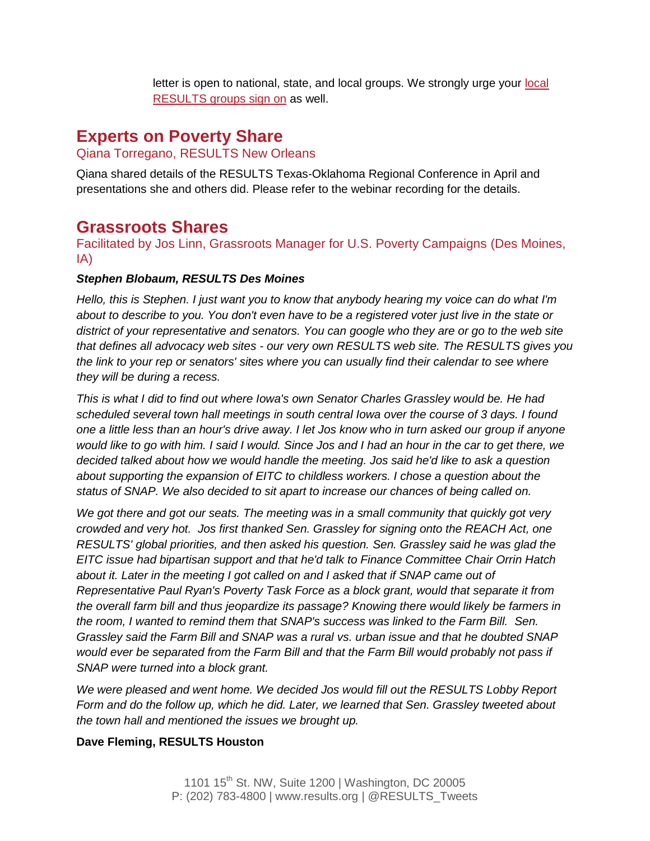letter is open to national, state, and local groups. We strongly urge your [local](https://docs.google.com/forms/d/1Jrq8EkHVsLNmB35oIuhxfC5VJgprg0pPMwHaTZRo8p8/viewform?c=0&w=1)  [RESULTS groups sign on](https://docs.google.com/forms/d/1Jrq8EkHVsLNmB35oIuhxfC5VJgprg0pPMwHaTZRo8p8/viewform?c=0&w=1) as well.

## **Experts on Poverty Share**

#### Qiana Torregano, RESULTS New Orleans

Qiana shared details of the RESULTS Texas-Oklahoma Regional Conference in April and presentations she and others did. Please refer to the webinar recording for the details.

## **Grassroots Shares**

Facilitated by Jos Linn, Grassroots Manager for U.S. Poverty Campaigns (Des Moines, IA)

#### *Stephen Blobaum, RESULTS Des Moines*

*Hello, this is Stephen. I just want you to know that anybody hearing my voice can do what I'm about to describe to you. You don't even have to be a registered voter just live in the state or district of your representative and senators. You can google who they are or go to the web site that defines all advocacy web sites - our very own RESULTS web site. The RESULTS gives you the link to your rep or senators' sites where you can usually find their calendar to see where they will be during a recess.* 

*This is what I did to find out where Iowa's own Senator Charles Grassley would be. He had scheduled several town hall meetings in south central Iowa over the course of 3 days. I found one a little less than an hour's drive away. I let Jos know who in turn asked our group if anyone would like to go with him. I said I would. Since Jos and I had an hour in the car to get there, we decided talked about how we would handle the meeting. Jos said he'd like to ask a question about supporting the expansion of EITC to childless workers. I chose a question about the status of SNAP. We also decided to sit apart to increase our chances of being called on.* 

*We got there and got our seats. The meeting was in a small community that quickly got very crowded and very hot. Jos first thanked Sen. Grassley for signing onto the REACH Act, one RESULTS' global priorities, and then asked his question. Sen. Grassley said he was glad the EITC issue had bipartisan support and that he'd talk to Finance Committee Chair Orrin Hatch*  about it. Later in the meeting I got called on and I asked that if SNAP came out of *Representative Paul Ryan's Poverty Task Force as a block grant, would that separate it from the overall farm bill and thus jeopardize its passage? Knowing there would likely be farmers in the room, I wanted to remind them that SNAP's success was linked to the Farm Bill. Sen. Grassley said the Farm Bill and SNAP was a rural vs. urban issue and that he doubted SNAP would ever be separated from the Farm Bill and that the Farm Bill would probably not pass if SNAP were turned into a block grant.* 

*We were pleased and went home. We decided Jos would fill out the RESULTS Lobby Report Form and do the follow up, which he did. Later, we learned that Sen. Grassley tweeted about the town hall and mentioned the issues we brought up.*

#### **Dave Fleming, RESULTS Houston**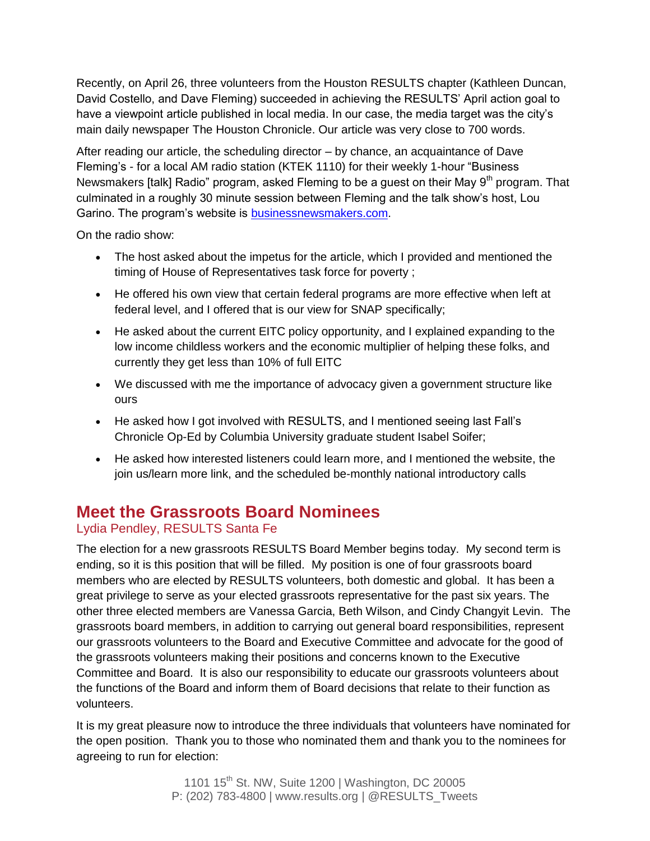Recently, on April 26, three volunteers from the Houston RESULTS chapter (Kathleen Duncan, David Costello, and Dave Fleming) succeeded in achieving the RESULTS' April action goal to have a viewpoint article published in local media. In our case, the media target was the city's main daily newspaper The Houston Chronicle. Our article was very close to 700 words.

After reading our article, the scheduling director – by chance, an acquaintance of Dave Fleming's - for a local AM radio station (KTEK 1110) for their weekly 1-hour "Business Newsmakers [talk] Radio" program, asked Fleming to be a guest on their May  $9<sup>th</sup>$  program. That culminated in a roughly 30 minute session between Fleming and the talk show's host, Lou Garino. The program's website is [businessnewsmakers.com.](http://businessnewsmakers.com/)

On the radio show:

- The host asked about the impetus for the article, which I provided and mentioned the timing of House of Representatives task force for poverty ;
- He offered his own view that certain federal programs are more effective when left at federal level, and I offered that is our view for SNAP specifically;
- He asked about the current EITC policy opportunity, and I explained expanding to the low income childless workers and the economic multiplier of helping these folks, and currently they get less than 10% of full EITC
- We discussed with me the importance of advocacy given a government structure like ours
- He asked how I got involved with RESULTS, and I mentioned seeing last Fall's Chronicle Op-Ed by Columbia University graduate student Isabel Soifer;
- He asked how interested listeners could learn more, and I mentioned the website, the join us/learn more link, and the scheduled be-monthly national introductory calls

## **Meet the Grassroots Board Nominees**

### Lydia Pendley, RESULTS Santa Fe

The election for a new grassroots RESULTS Board Member begins today. My second term is ending, so it is this position that will be filled. My position is one of four grassroots board members who are elected by RESULTS volunteers, both domestic and global. It has been a great privilege to serve as your elected grassroots representative for the past six years. The other three elected members are Vanessa Garcia, Beth Wilson, and Cindy Changyit Levin. The grassroots board members, in addition to carrying out general board responsibilities, represent our grassroots volunteers to the Board and Executive Committee and advocate for the good of the grassroots volunteers making their positions and concerns known to the Executive Committee and Board. It is also our responsibility to educate our grassroots volunteers about the functions of the Board and inform them of Board decisions that relate to their function as volunteers.

It is my great pleasure now to introduce the three individuals that volunteers have nominated for the open position. Thank you to those who nominated them and thank you to the nominees for agreeing to run for election: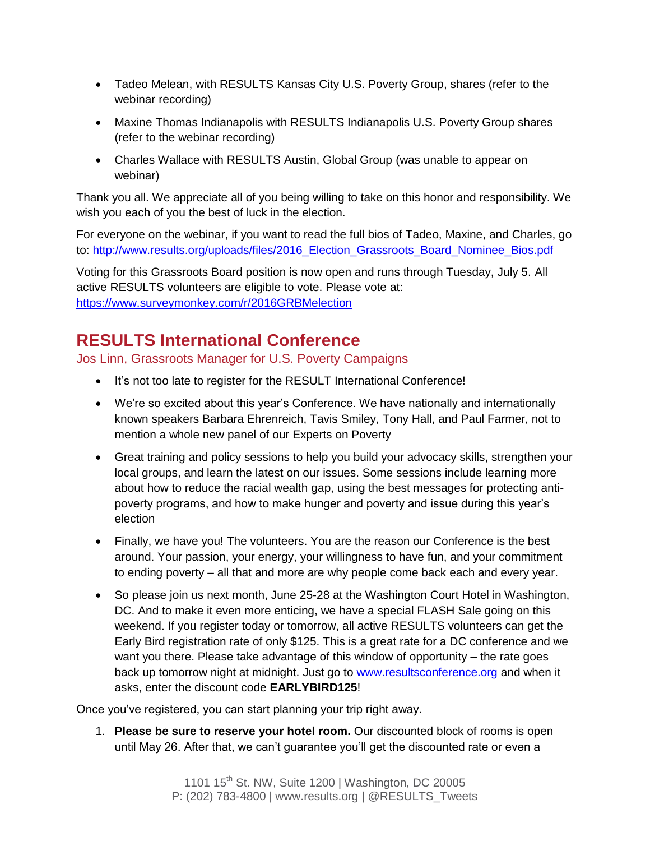- Tadeo Melean, with RESULTS Kansas City U.S. Poverty Group, shares (refer to the webinar recording)
- Maxine Thomas Indianapolis with RESULTS Indianapolis U.S. Poverty Group shares (refer to the webinar recording)
- Charles Wallace with RESULTS Austin, Global Group (was unable to appear on webinar)

Thank you all. We appreciate all of you being willing to take on this honor and responsibility. We wish you each of you the best of luck in the election.

For everyone on the webinar, if you want to read the full bios of Tadeo, Maxine, and Charles, go to: [http://www.results.org/uploads/files/2016\\_Election\\_Grassroots\\_Board\\_Nominee\\_Bios.pdf](http://www.results.org/uploads/files/2016_Election_Grassroots_Board_Nominee_Bios.pdf)

Voting for this Grassroots Board position is now open and runs through Tuesday, July 5. All active RESULTS volunteers are eligible to vote. Please vote at: <https://www.surveymonkey.com/r/2016GRBMelection>

# **RESULTS International Conference**

Jos Linn, Grassroots Manager for U.S. Poverty Campaigns

- It's not too late to register for the RESULT International Conference!
- We're so excited about this year's Conference. We have nationally and internationally known speakers Barbara Ehrenreich, Tavis Smiley, Tony Hall, and Paul Farmer, not to mention a whole new panel of our Experts on Poverty
- Great training and policy sessions to help you build your advocacy skills, strengthen your local groups, and learn the latest on our issues. Some sessions include learning more about how to reduce the racial wealth gap, using the best messages for protecting antipoverty programs, and how to make hunger and poverty and issue during this year's election
- Finally, we have you! The volunteers. You are the reason our Conference is the best around. Your passion, your energy, your willingness to have fun, and your commitment to ending poverty – all that and more are why people come back each and every year.
- So please join us next month, June 25-28 at the Washington Court Hotel in Washington, DC. And to make it even more enticing, we have a special FLASH Sale going on this weekend. If you register today or tomorrow, all active RESULTS volunteers can get the Early Bird registration rate of only \$125. This is a great rate for a DC conference and we want you there. Please take advantage of this window of opportunity – the rate goes back up tomorrow night at midnight. Just go to [www.resultsconference.org](http://www.resultsconference.org/) and when it asks, enter the discount code **EARLYBIRD125**!

Once you've registered, you can start planning your trip right away.

1. **Please be sure to reserve your hotel room.** Our discounted block of rooms is open until May 26. After that, we can't guarantee you'll get the discounted rate or even a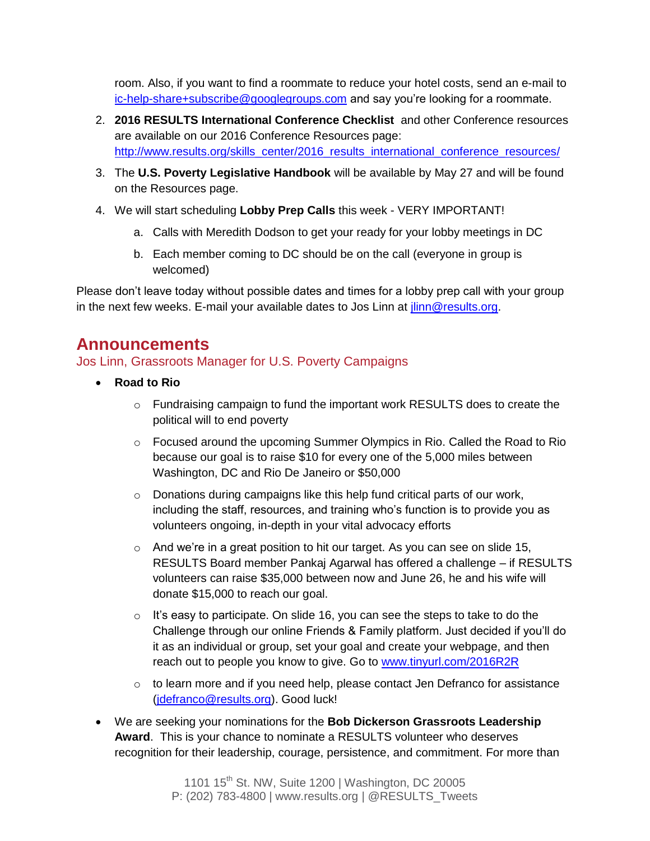room. Also, if you want to find a roommate to reduce your hotel costs, send an e-mail to [ic-help-share+subscribe@googlegroups.com](mailto:ic-help-share+subscribe@googlegroups.com) and say you're looking for a roommate.

- 2. **2016 RESULTS International Conference Checklist** and other Conference resources are available on our 2016 Conference Resources page: [http://www.results.org/skills\\_center/2016\\_results\\_international\\_conference\\_resources/](http://www.results.org/skills_center/2016_results_international_conference_resources/)
- 3. The **U.S. Poverty Legislative Handbook** will be available by May 27 and will be found on the Resources page.
- 4. We will start scheduling **Lobby Prep Calls** this week VERY IMPORTANT!
	- a. Calls with Meredith Dodson to get your ready for your lobby meetings in DC
	- b. Each member coming to DC should be on the call (everyone in group is welcomed)

Please don't leave today without possible dates and times for a lobby prep call with your group in the next few weeks. E-mail your available dates to Jos Linn at *jlinn@results.org*.

## **Announcements**

#### Jos Linn, Grassroots Manager for U.S. Poverty Campaigns

- **Road to Rio**
	- o Fundraising campaign to fund the important work RESULTS does to create the political will to end poverty
	- $\circ$  Focused around the upcoming Summer Olympics in Rio. Called the Road to Rio because our goal is to raise \$10 for every one of the 5,000 miles between Washington, DC and Rio De Janeiro or \$50,000
	- o Donations during campaigns like this help fund critical parts of our work, including the staff, resources, and training who's function is to provide you as volunteers ongoing, in-depth in your vital advocacy efforts
	- $\circ$  And we're in a great position to hit our target. As you can see on slide 15, RESULTS Board member Pankaj Agarwal has offered a challenge – if RESULTS volunteers can raise \$35,000 between now and June 26, he and his wife will donate \$15,000 to reach our goal.
	- $\circ$  It's easy to participate. On slide 16, you can see the steps to take to do the Challenge through our online Friends & Family platform. Just decided if you'll do it as an individual or group, set your goal and create your webpage, and then reach out to people you know to give. Go to [www.tinyurl.com/2016R2R](http://www.tinyurl.com/2016R2R)
	- o to learn more and if you need help, please contact Jen Defranco for assistance [\(jdefranco@results.org\)](mailto:jdefranco@results.org). Good luck!
- We are seeking your nominations for the **Bob Dickerson Grassroots Leadership Award**. This is your chance to nominate a RESULTS volunteer who deserves recognition for their leadership, courage, persistence, and commitment. For more than